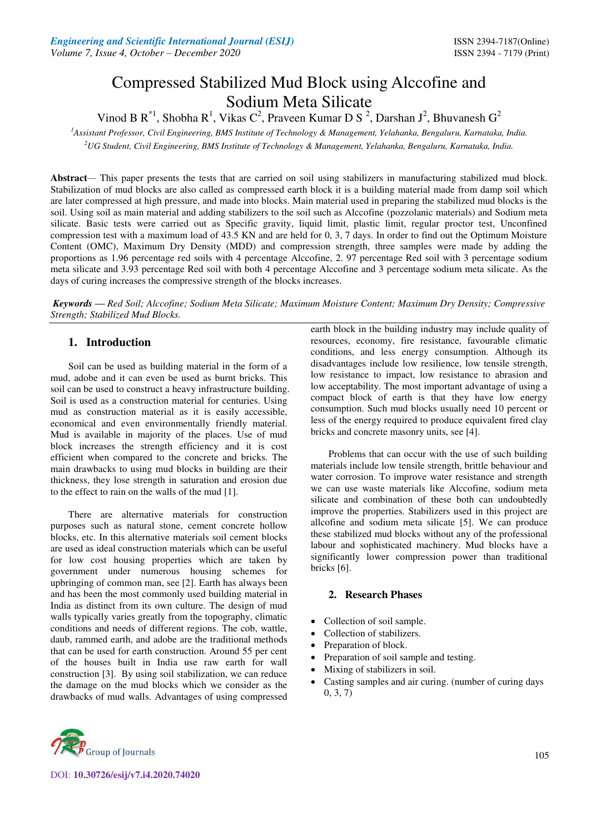# Compressed Stabilized Mud Block using Alccofine and Sodium Meta Silicate

Vinod B  $\mathbb{R}^{1}$ , Shobha  $\mathbb{R}^{1}$ , Vikas  $\mathbb{C}^{2}$ , Praveen Kumar D S<sup>2</sup>, Darshan J<sup>2</sup>, Bhuvanesh G<sup>2</sup>

*<sup>1</sup>Assistant Professor, Civil Engineering, BMS Institute of Technology & Management, Yelahanka, Bengaluru, Karnataka, India.* 

*<sup>2</sup>UG Student, Civil Engineering, BMS Institute of Technology & Management, Yelahanka, Bengaluru, Karnataka, India.* 

**Abstract***—* This paper presents the tests that are carried on soil using stabilizers in manufacturing stabilized mud block. Stabilization of mud blocks are also called as compressed earth block it is a building material made from damp soil which are later compressed at high pressure, and made into blocks. Main material used in preparing the stabilized mud blocks is the soil. Using soil as main material and adding stabilizers to the soil such as Alccofine (pozzolanic materials) and Sodium meta silicate. Basic tests were carried out as Specific gravity, liquid limit, plastic limit, regular proctor test, Unconfined compression test with a maximum load of 43.5 KN and are held for 0, 3, 7 days. In order to find out the Optimum Moisture Content (OMC), Maximum Dry Density (MDD) and compression strength, three samples were made by adding the proportions as 1.96 percentage red soils with 4 percentage Alccofine, 2. 97 percentage Red soil with 3 percentage sodium meta silicate and 3.93 percentage Red soil with both 4 percentage Alccofine and 3 percentage sodium meta silicate. As the days of curing increases the compressive strength of the blocks increases.

*Keywords* **—** *Red Soil; Alccofine; Sodium Meta Silicate; Maximum Moisture Content; Maximum Dry Density; Compressive Strength; Stabilized Mud Blocks.* 

# **1. Introduction**

Soil can be used as building material in the form of a mud, adobe and it can even be used as burnt bricks. This soil can be used to construct a heavy infrastructure building. Soil is used as a construction material for centuries. Using mud as construction material as it is easily accessible, economical and even environmentally friendly material. Mud is available in majority of the places. Use of mud block increases the strength efficiency and it is cost efficient when compared to the concrete and bricks. The main drawbacks to using mud blocks in building are their thickness, they lose strength in saturation and erosion due to the effect to rain on the walls of the mud [1].

There are alternative materials for construction purposes such as natural stone, cement concrete hollow blocks, etc. In this alternative materials soil cement blocks are used as ideal construction materials which can be useful for low cost housing properties which are taken by government under numerous housing schemes for upbringing of common man, see [2]. Earth has always been and has been the most commonly used building material in India as distinct from its own culture. The design of mud walls typically varies greatly from the topography, climatic conditions and needs of different regions. The cob, wattle, daub, rammed earth, and adobe are the traditional methods that can be used for earth construction. Around 55 per cent of the houses built in India use raw earth for wall construction [3]. By using soil stabilization, we can reduce the damage on the mud blocks which we consider as the drawbacks of mud walls. Advantages of using compressed earth block in the building industry may include quality of resources, economy, fire resistance, favourable climatic conditions, and less energy consumption. Although its disadvantages include low resilience, low tensile strength, low resistance to impact, low resistance to abrasion and low acceptability. The most important advantage of using a compact block of earth is that they have low energy consumption. Such mud blocks usually need 10 percent or less of the energy required to produce equivalent fired clay bricks and concrete masonry units, see [4].

Problems that can occur with the use of such building materials include low tensile strength, brittle behaviour and water corrosion. To improve water resistance and strength we can use waste materials like Alccofine, sodium meta silicate and combination of these both can undoubtedly improve the properties. Stabilizers used in this project are allcofine and sodium meta silicate [5]. We can produce these stabilized mud blocks without any of the professional labour and sophisticated machinery. Mud blocks have a significantly lower compression power than traditional bricks [6].

# **2. Research Phases**

- Collection of soil sample.
- Collection of stabilizers.
- Preparation of block.
- Preparation of soil sample and testing.
- Mixing of stabilizers in soil.
- Casting samples and air curing. (number of curing days 0, 3, 7)

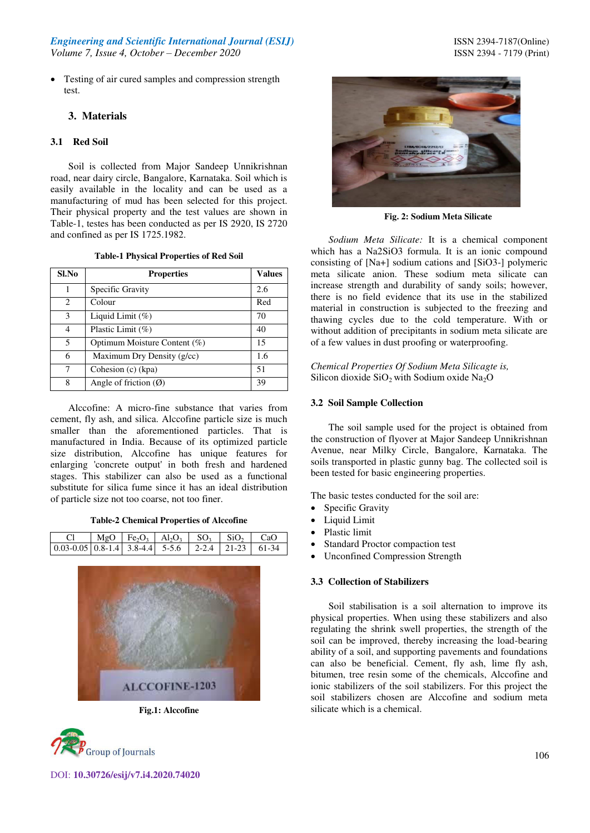*Engineering and Scientific International Journal (ESIJ)* **ISSN 2394-7187(Online) ISSN 2394-7187(Online)** *Volume 7, Issue 4, October – December 2020* ISSN 2394 - 7179 (Print)

• Testing of air cured samples and compression strength test.

## **3. Materials**

#### **3.1 Red Soil**

Soil is collected from Major Sandeep Unnikrishnan road, near dairy circle, Bangalore, Karnataka. Soil which is easily available in the locality and can be used as a manufacturing of mud has been selected for this project. Their physical property and the test values are shown in Table-1, testes has been conducted as per IS 2920, IS 2720 and confined as per IS 1725.1982.

| <b>Table-1 Physical Properties of Red Soil</b> |  |  |  |  |
|------------------------------------------------|--|--|--|--|
|------------------------------------------------|--|--|--|--|

| Sl.No                       | <b>Properties</b>               | <b>Values</b> |
|-----------------------------|---------------------------------|---------------|
|                             | Specific Gravity                | 2.6           |
| $\mathcal{D}_{\mathcal{L}}$ | Colour                          | Red           |
| 3                           | Liquid Limit $(\%)$             | 70            |
| 4                           | Plastic Limit (%)               | 40            |
| 5                           | Optimum Moisture Content (%)    | 15            |
| 6                           | Maximum Dry Density (g/cc)      | 1.6           |
| 7                           | Cohesion (c) (kpa)              | 51            |
| 8                           | Angle of friction $(\emptyset)$ | 39            |

Alccofine: A micro-fine substance that varies from cement, fly ash, and silica. Alccofine particle size is much smaller than the aforementioned particles. That is manufactured in India. Because of its optimized particle size distribution, Alccofine has unique features for enlarging 'concrete output' in both fresh and hardened stages. This stabilizer can also be used as a functional substitute for silica fume since it has an ideal distribution of particle size not too coarse, not too finer.

**Table-2 Chemical Properties of Alccofine** 





**Fig.1: Alccofine** 





**Fig. 2: Sodium Meta Silicate** 

*Sodium Meta Silicate:* It is a chemical component which has a Na2SiO3 formula. It is an ionic compound consisting of [Na+] sodium cations and [SiO3-] polymeric meta silicate anion. These sodium meta silicate can increase strength and durability of sandy soils; however, there is no field evidence that its use in the stabilized material in construction is subjected to the freezing and thawing cycles due to the cold temperature. With or without addition of precipitants in sodium meta silicate are of a few values in dust proofing or waterproofing.

*Chemical Properties Of Sodium Meta Silicagte is,*  Silicon dioxide  $SiO<sub>2</sub>$  with Sodium oxide Na<sub>2</sub>O

#### **3.2 Soil Sample Collection**

The soil sample used for the project is obtained from the construction of flyover at Major Sandeep Unnikrishnan Avenue, near Milky Circle, Bangalore, Karnataka. The soils transported in plastic gunny bag. The collected soil is been tested for basic engineering properties.

The basic testes conducted for the soil are:

- Specific Gravity
- Liquid Limit
- Plastic limit
- Standard Proctor compaction test
- Unconfined Compression Strength

# **3.3 Collection of Stabilizers**

Soil stabilisation is a soil alternation to improve its physical properties. When using these stabilizers and also regulating the shrink swell properties, the strength of the soil can be improved, thereby increasing the load-bearing ability of a soil, and supporting pavements and foundations can also be beneficial. Cement, fly ash, lime fly ash, bitumen, tree resin some of the chemicals, Alccofine and ionic stabilizers of the soil stabilizers. For this project the soil stabilizers chosen are Alccofine and sodium meta silicate which is a chemical.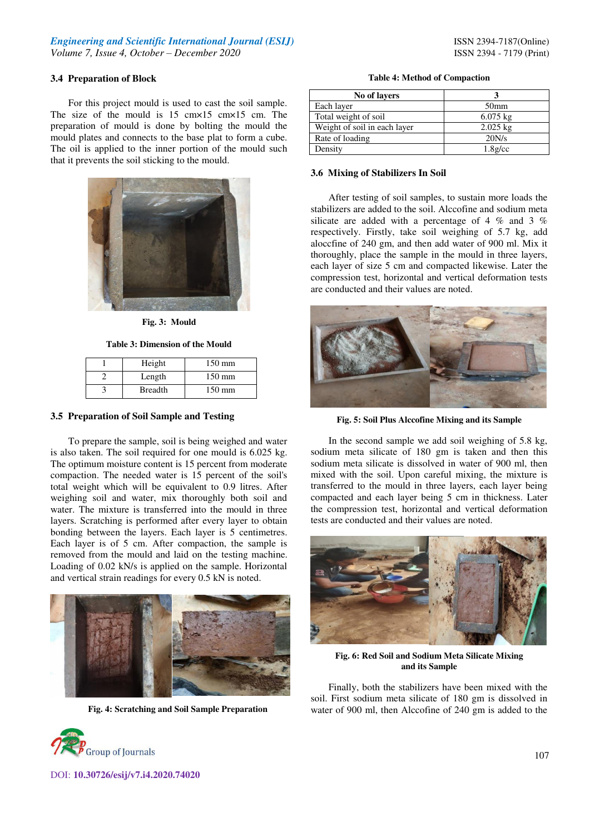# *Engineering and Scientific International Journal (ESIJ)* **ISSN 2394-7187(Online)** *Volume 7, Issue 4, October – December 2020* ISSN 2394 - 7179 (Print)

#### **3.4 Preparation of Block**

For this project mould is used to cast the soil sample. The size of the mould is 15 cm×15 cm×15 cm. The preparation of mould is done by bolting the mould the mould plates and connects to the base plat to form a cube. The oil is applied to the inner portion of the mould such that it prevents the soil sticking to the mould.



**Fig. 3: Mould** 

**Table 3: Dimension of the Mould** 

| Height         | $150 \text{ mm}$ |
|----------------|------------------|
| Length         | $150 \text{ mm}$ |
| <b>Breadth</b> | $150 \text{ mm}$ |

## **3.5 Preparation of Soil Sample and Testing**

To prepare the sample, soil is being weighed and water is also taken. The soil required for one mould is 6.025 kg. The optimum moisture content is 15 percent from moderate compaction. The needed water is 15 percent of the soil's total weight which will be equivalent to 0.9 litres. After weighing soil and water, mix thoroughly both soil and water. The mixture is transferred into the mould in three layers. Scratching is performed after every layer to obtain bonding between the layers. Each layer is 5 centimetres. Each layer is of 5 cm. After compaction, the sample is removed from the mould and laid on the testing machine. Loading of 0.02 kN/s is applied on the sample. Horizontal and vertical strain readings for every 0.5 kN is noted.



**Fig. 4: Scratching and Soil Sample Preparation** 



| No of layers                 |                    |
|------------------------------|--------------------|
| Each layer                   | 50 <sub>mm</sub>   |
| Total weight of soil         | $6.075 \text{ kg}$ |
| Weight of soil in each layer | $2.025 \text{ kg}$ |
| Rate of loading              | 20N/s              |
| Density                      | $1.8$ g/cc         |

#### **3.6 Mixing of Stabilizers In Soil**

After testing of soil samples, to sustain more loads the stabilizers are added to the soil. Alccofine and sodium meta silicate are added with a percentage of 4 % and 3 % respectively. Firstly, take soil weighing of 5.7 kg, add aloccfine of 240 gm, and then add water of 900 ml. Mix it thoroughly, place the sample in the mould in three layers, each layer of size 5 cm and compacted likewise. Later the compression test, horizontal and vertical deformation tests are conducted and their values are noted.



**Fig. 5: Soil Plus Alccofine Mixing and its Sample** 

In the second sample we add soil weighing of 5.8 kg, sodium meta silicate of 180 gm is taken and then this sodium meta silicate is dissolved in water of 900 ml, then mixed with the soil. Upon careful mixing, the mixture is transferred to the mould in three layers, each layer being compacted and each layer being 5 cm in thickness. Later the compression test, horizontal and vertical deformation tests are conducted and their values are noted.



**Fig. 6: Red Soil and Sodium Meta Silicate Mixing and its Sample** 

Finally, both the stabilizers have been mixed with the soil. First sodium meta silicate of 180 gm is dissolved in water of 900 ml, then Alccofine of 240 gm is added to the

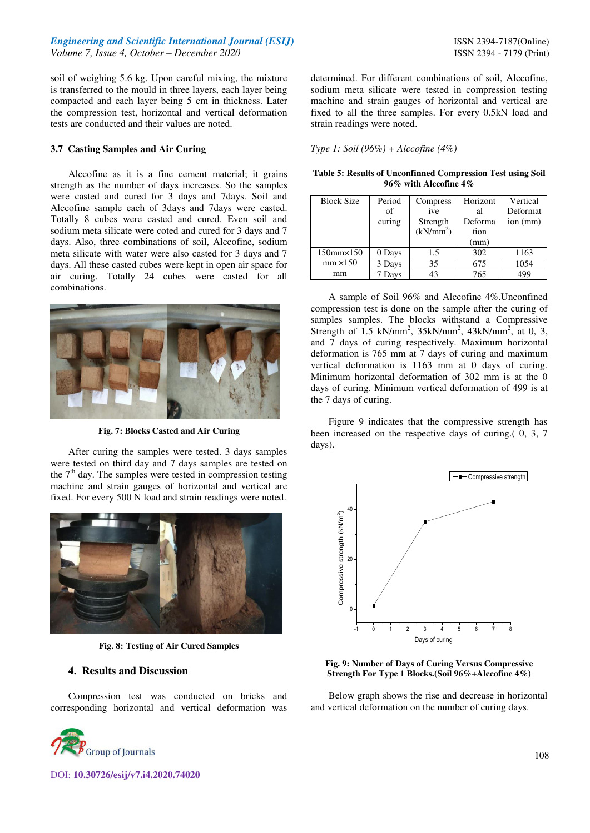## *Engineering and Scientific International Journal (ESIJ)* **ISSN 2394-7187(Online) ISSN 2394-7187(Online)** *Volume 7, Issue 4, October – December 2020* ISSN 2394 - 7179 (Print)

soil of weighing 5.6 kg. Upon careful mixing, the mixture is transferred to the mould in three layers, each layer being compacted and each layer being 5 cm in thickness. Later the compression test, horizontal and vertical deformation tests are conducted and their values are noted.

#### **3.7 Casting Samples and Air Curing**

Alccofine as it is a fine cement material; it grains strength as the number of days increases. So the samples were casted and cured for 3 days and 7days. Soil and Alccofine sample each of 3days and 7days were casted. Totally 8 cubes were casted and cured. Even soil and sodium meta silicate were coted and cured for 3 days and 7 days. Also, three combinations of soil, Alccofine, sodium meta silicate with water were also casted for 3 days and 7 days. All these casted cubes were kept in open air space for air curing. Totally 24 cubes were casted for all combinations.



**Fig. 7: Blocks Casted and Air Curing** 

After curing the samples were tested. 3 days samples were tested on third day and 7 days samples are tested on the  $7<sup>th</sup>$  day. The samples were tested in compression testing machine and strain gauges of horizontal and vertical are fixed. For every 500 N load and strain readings were noted.



**Fig. 8: Testing of Air Cured Samples** 

# **4. Results and Discussion**

Compression test was conducted on bricks and corresponding horizontal and vertical deformation was



DOI: **10.30726/esij/v7.i4.2020.74020**

determined. For different combinations of soil, Alccofine, sodium meta silicate were tested in compression testing machine and strain gauges of horizontal and vertical are fixed to all the three samples. For every 0.5kN load and strain readings were noted.

*Type 1: Soil (96%) + Alccofine (4%)* 

**Table 5: Results of Unconfinned Compression Test using Soil 96% with Alccofine 4%**

| <b>Block Size</b>       | Period | Compress              | Horizont | Vertical |
|-------------------------|--------|-----------------------|----------|----------|
|                         | of     | ive                   | al       | Deformat |
|                         | curing | Strength              | Deforma  | ion (mm) |
|                         |        | (kN/mm <sup>2</sup> ) | tion     |          |
|                         |        |                       | (mm)     |          |
| $150$ mm $\times$ $150$ | 0 Days | 1.5                   | 302      | 1163     |
| $mm \times 150$         | 3 Days | 35                    | 675      | 1054     |
| mm                      | 7 Days | 43                    | 765      | 499      |

A sample of Soil 96% and Alccofine 4%.Unconfined compression test is done on the sample after the curing of samples samples. The blocks withstand a Compressive Strength of  $1.5$  kN/mm<sup>2</sup>,  $35$ kN/mm<sup>2</sup>,  $43$ kN/mm<sup>2</sup>, at 0, 3, and 7 days of curing respectively. Maximum horizontal deformation is 765 mm at 7 days of curing and maximum vertical deformation is 1163 mm at 0 days of curing. Minimum horizontal deformation of 302 mm is at the 0 days of curing. Minimum vertical deformation of 499 is at the 7 days of curing.

Figure 9 indicates that the compressive strength has been increased on the respective days of curing.( 0, 3, 7 days).



**Fig. 9: Number of Days of Curing Versus Compressive Strength For Type 1 Blocks.(Soil 96%+Alccofine 4%)** 

Below graph shows the rise and decrease in horizontal and vertical deformation on the number of curing days.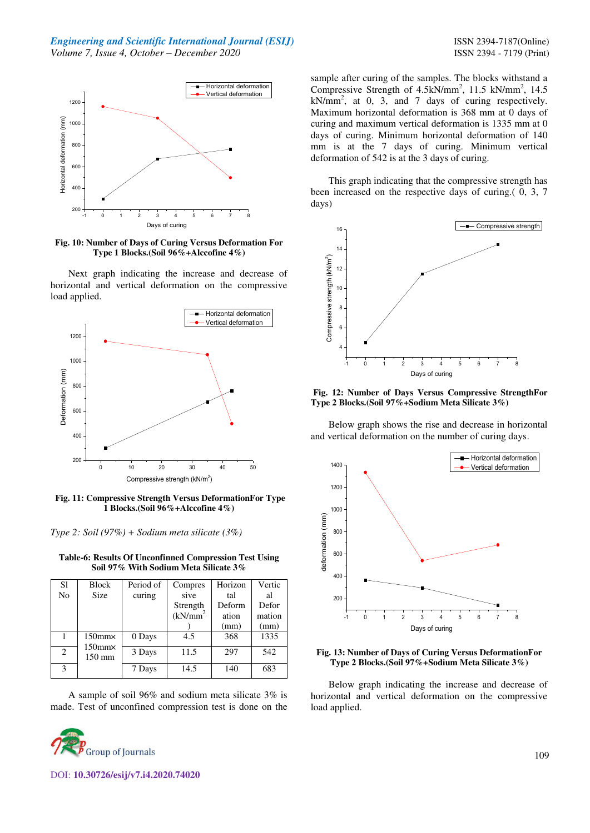

**Fig. 10: Number of Days of Curing Versus Deformation For Type 1 Blocks.(Soil 96%+Alccofine 4%)** 

Next graph indicating the increase and decrease of horizontal and vertical deformation on the compressive load applied.



**Fig. 11: Compressive Strength Versus DeformationFor Type 1 Blocks.(Soil 96%+Alccofine 4%)**

*Type 2: Soil (97%) + Sodium meta silicate (3%)* 

**Table-6: Results Of Unconfinned Compression Test Using Soil 97% With Sodium Meta Silicate 3%** 

| S1 | <b>Block</b>                | Period of | Compres     | Horizon | Vertic |
|----|-----------------------------|-----------|-------------|---------|--------|
| No | Size                        | curing    | sive        | tal     | al     |
|    |                             |           | Strength    | Deform  | Defor  |
|    |                             |           | $(kN/mm^2)$ | ation   | mation |
|    |                             |           |             | (mm)    | (mm)   |
|    | $150$ mm $\times$           | 0 Days    | 4.5         | 368     | 1335   |
| 2  | $150$ mm $\times$<br>150 mm | 3 Days    | 11.5        | 297     | 542    |
| 3  |                             | 7 Days    | 14.5        | 140     | 683    |

A sample of soil 96% and sodium meta silicate 3% is made. Test of unconfined compression test is done on the



DOI: **10.30726/esij/v7.i4.2020.74020**

sample after curing of the samples. The blocks withstand a Compressive Strength of 4.5kN/mm<sup>2</sup>, 11.5 kN/mm<sup>2</sup>, 14.5  $kN/mm^2$ , at 0, 3, and 7 days of curing respectively. Maximum horizontal deformation is 368 mm at 0 days of curing and maximum vertical deformation is 1335 mm at 0 days of curing. Minimum horizontal deformation of 140 mm is at the 7 days of curing. Minimum vertical deformation of 542 is at the 3 days of curing.

This graph indicating that the compressive strength has been increased on the respective days of curing.( 0, 3, 7 days)



**Fig. 12: Number of Days Versus Compressive StrengthFor Type 2 Blocks.(Soil 97%+Sodium Meta Silicate 3%)** 

Below graph shows the rise and decrease in horizontal and vertical deformation on the number of curing days.



#### **Fig. 13: Number of Days of Curing Versus DeformationFor Type 2 Blocks.(Soil 97%+Sodium Meta Silicate 3%)**

Below graph indicating the increase and decrease of horizontal and vertical deformation on the compressive load applied.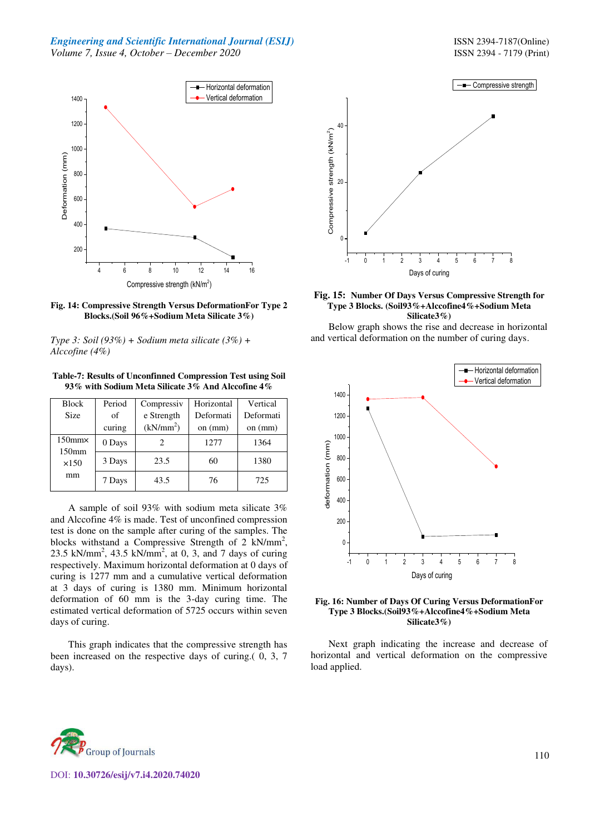*Engineering and Scientific International Journal (ESIJ)* **ISSN 2394-7187(Online)** *Volume 7, Issue 4, October – December 2020* ISSN 2394 - 7179 (Print)



**Fig. 14: Compressive Strength Versus DeformationFor Type 2 Blocks.(Soil 96%+Sodium Meta Silicate 3%)** 

*Type 3: Soil (93%) + Sodium meta silicate (3%) + Alccofine (4%)* 

**Table-7: Results of Unconfinned Compression Test using Soil 93% with Sodium Meta Silicate 3% And Alccofine 4%** 

| <b>Block</b>                           | Period | Compressiv            | Horizontal | Vertical  |
|----------------------------------------|--------|-----------------------|------------|-----------|
| <b>Size</b>                            | of     | e Strength            | Deformati  | Deformati |
|                                        | curing | (kN/mm <sup>2</sup> ) | on $(mm)$  | on $(mm)$ |
| $150$ mm $\times$<br>150 <sub>mm</sub> | 0 Days |                       | 1277       | 1364      |
| $\times$ 150                           | 3 Days | 23.5                  | 60         | 1380      |
| mm                                     | 7 Days | 43.5                  | 76         | 725       |

A sample of soil 93% with sodium meta silicate 3% and Alccofine 4% is made. Test of unconfined compression test is done on the sample after curing of the samples. The blocks withstand a Compressive Strength of 2 kN/mm<sup>2</sup>, 23.5 kN/mm<sup>2</sup>, 43.5 kN/mm<sup>2</sup>, at 0, 3, and 7 days of curing respectively. Maximum horizontal deformation at 0 days of curing is 1277 mm and a cumulative vertical deformation at 3 days of curing is 1380 mm. Minimum horizontal deformation of 60 mm is the 3-day curing time. The estimated vertical deformation of 5725 occurs within seven days of curing.

This graph indicates that the compressive strength has been increased on the respective days of curing.( 0, 3, 7 days).





#### **Fig. 15: Number Of Days Versus Compressive Strength for Type 3 Blocks. (Soil93%+Alccofine4%+Sodium Meta Silicate3%)**

Below graph shows the rise and decrease in horizontal and vertical deformation on the number of curing days.



#### **Fig. 16: Number of Days Of Curing Versus DeformationFor Type 3 Blocks.(Soil93%+Alccofine4%+Sodium Meta Silicate3%)**

Next graph indicating the increase and decrease of horizontal and vertical deformation on the compressive load applied.